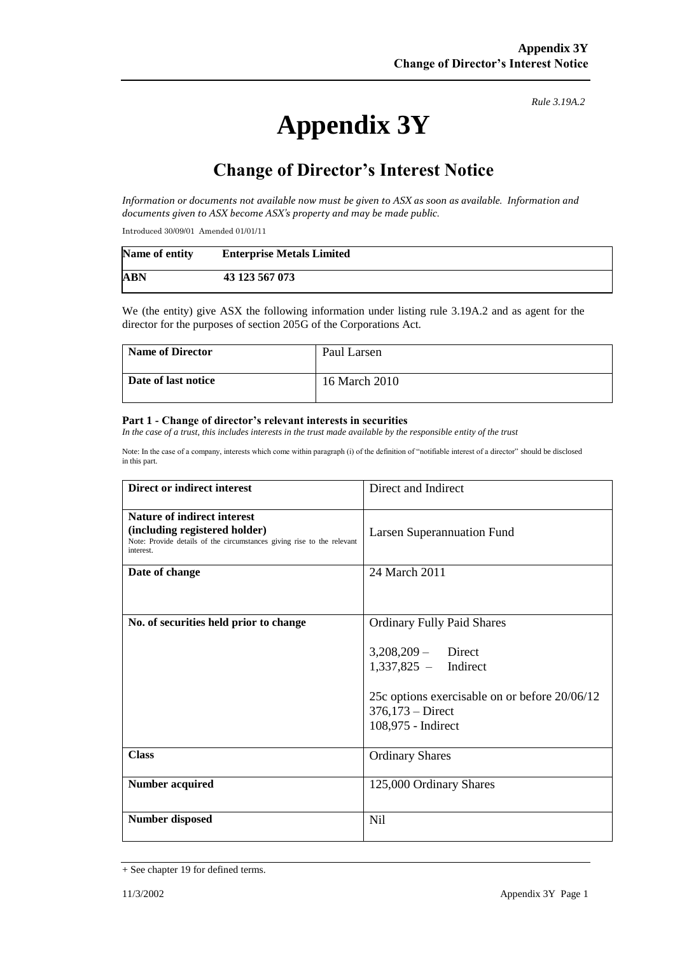# **Appendix 3Y**

*Rule 3.19A.2*

# **Change of Director's Interest Notice**

*Information or documents not available now must be given to ASX as soon as available. Information and documents given to ASX become ASX's property and may be made public.*

Introduced 30/09/01 Amended 01/01/11

| Name of entity | <b>Enterprise Metals Limited</b> |
|----------------|----------------------------------|
| <b>ABN</b>     | 43 123 567 073                   |

We (the entity) give ASX the following information under listing rule 3.19A.2 and as agent for the director for the purposes of section 205G of the Corporations Act.

| Name of Director    | Paul Larsen   |
|---------------------|---------------|
| Date of last notice | 16 March 2010 |

#### **Part 1 - Change of director's relevant interests in securities**

*In the case of a trust, this includes interests in the trust made available by the responsible entity of the trust*

Note: In the case of a company, interests which come within paragraph (i) of the definition of "notifiable interest of a director" should be disclosed in this part.

| Direct or indirect interest                                                                                                                                | Direct and Indirect                                                                                                                                                            |  |
|------------------------------------------------------------------------------------------------------------------------------------------------------------|--------------------------------------------------------------------------------------------------------------------------------------------------------------------------------|--|
| <b>Nature of indirect interest</b><br>(including registered holder)<br>Note: Provide details of the circumstances giving rise to the relevant<br>interest. | <b>Larsen Superannuation Fund</b>                                                                                                                                              |  |
| Date of change                                                                                                                                             | 24 March 2011                                                                                                                                                                  |  |
| No. of securities held prior to change                                                                                                                     | <b>Ordinary Fully Paid Shares</b><br>$3,208,209 -$ Direct<br>1,337,825 - Indirect<br>25c options exercisable on or before 20/06/12<br>$376,173 - Direct$<br>108,975 - Indirect |  |
| <b>Class</b>                                                                                                                                               | <b>Ordinary Shares</b>                                                                                                                                                         |  |
| <b>Number acquired</b>                                                                                                                                     | 125,000 Ordinary Shares                                                                                                                                                        |  |
| <b>Number disposed</b>                                                                                                                                     | <b>Nil</b>                                                                                                                                                                     |  |

<sup>+</sup> See chapter 19 for defined terms.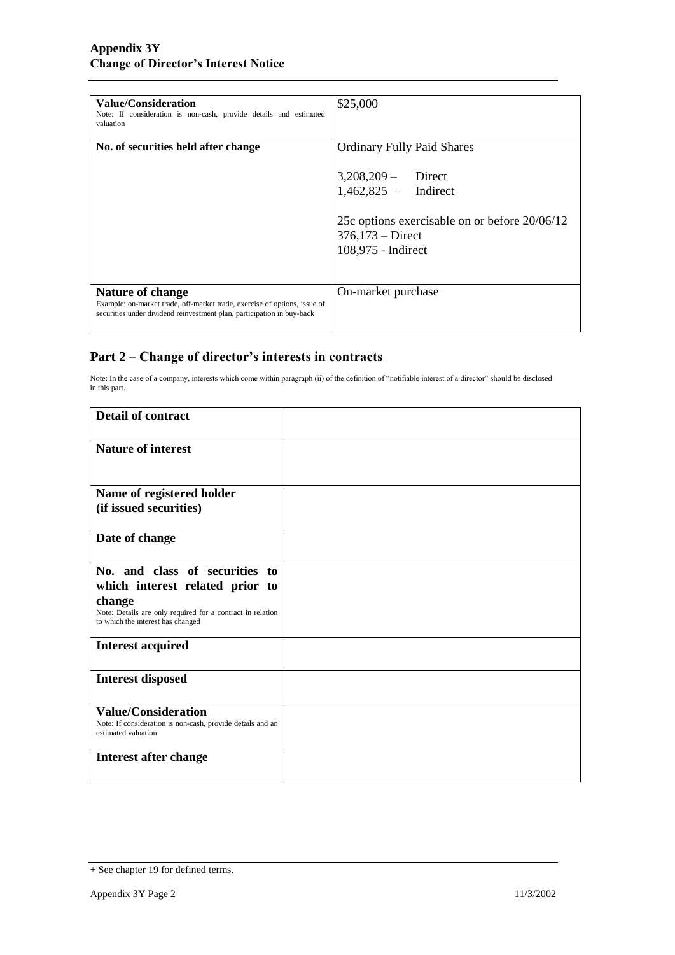| Value/Consideration<br>Note: If consideration is non-cash, provide details and estimated<br>valuation                                                                   | \$25,000                                                                          |
|-------------------------------------------------------------------------------------------------------------------------------------------------------------------------|-----------------------------------------------------------------------------------|
| No. of securities held after change                                                                                                                                     | <b>Ordinary Fully Paid Shares</b><br>$3,208,209 -$ Direct<br>1,462,825 - Indirect |
|                                                                                                                                                                         | 25c options exercisable on or before 20/06/12                                     |
|                                                                                                                                                                         | $376,173 - Direct$<br>108,975 - Indirect                                          |
| Nature of change<br>Example: on-market trade, off-market trade, exercise of options, issue of<br>securities under dividend reinvestment plan, participation in buy-back | On-market purchase                                                                |

### **Part 2 – Change of director's interests in contracts**

Note: In the case of a company, interests which come within paragraph (ii) of the definition of "notifiable interest of a director" should be disclosed in this part.

| <b>Detail of contract</b>                                                                                                                                                      |  |
|--------------------------------------------------------------------------------------------------------------------------------------------------------------------------------|--|
| <b>Nature of interest</b>                                                                                                                                                      |  |
| Name of registered holder<br>(if issued securities)                                                                                                                            |  |
| Date of change                                                                                                                                                                 |  |
| No. and class of securities to<br>which interest related prior to<br>change<br>Note: Details are only required for a contract in relation<br>to which the interest has changed |  |
| <b>Interest acquired</b>                                                                                                                                                       |  |
| <b>Interest disposed</b>                                                                                                                                                       |  |
| <b>Value/Consideration</b><br>Note: If consideration is non-cash, provide details and an<br>estimated valuation                                                                |  |
| <b>Interest after change</b>                                                                                                                                                   |  |

<sup>+</sup> See chapter 19 for defined terms.